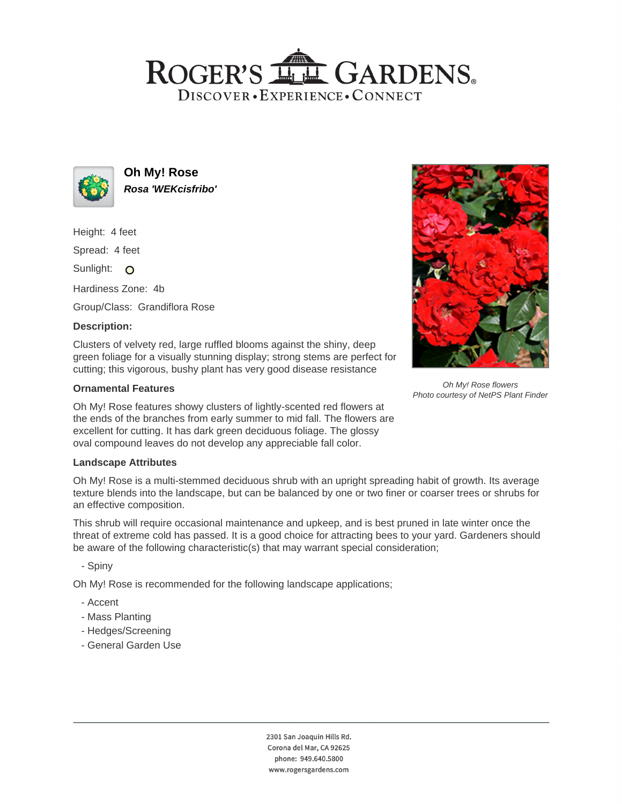# ROGER'S LL GARDENS. DISCOVER · EXPERIENCE · CONNECT



**Oh My! Rose Rosa 'WEKcisfribo'**

Height: 4 feet

Spread: 4 feet

Sunlight: O

Hardiness Zone: 4b

Group/Class: Grandiflora Rose

# **Description:**

Clusters of velvety red, large ruffled blooms against the shiny, deep green foliage for a visually stunning display; strong stems are perfect for cutting; this vigorous, bushy plant has very good disease resistance

# **Ornamental Features**

Oh My! Rose features showy clusters of lightly-scented red flowers at the ends of the branches from early summer to mid fall. The flowers are excellent for cutting. It has dark green deciduous foliage. The glossy oval compound leaves do not develop any appreciable fall color.

#### **Landscape Attributes**

Oh My! Rose is a multi-stemmed deciduous shrub with an upright spreading habit of growth. Its average texture blends into the landscape, but can be balanced by one or two finer or coarser trees or shrubs for an effective composition.

This shrub will require occasional maintenance and upkeep, and is best pruned in late winter once the threat of extreme cold has passed. It is a good choice for attracting bees to your yard. Gardeners should be aware of the following characteristic(s) that may warrant special consideration;

- Spiny

Oh My! Rose is recommended for the following landscape applications;

- Accent
- Mass Planting
- Hedges/Screening
- General Garden Use



Oh My! Rose flowers Photo courtesy of NetPS Plant Finder

2301 San Joaquin Hills Rd. Corona del Mar, CA 92625 phone: 949.640.5800 www.rogersgardens.com